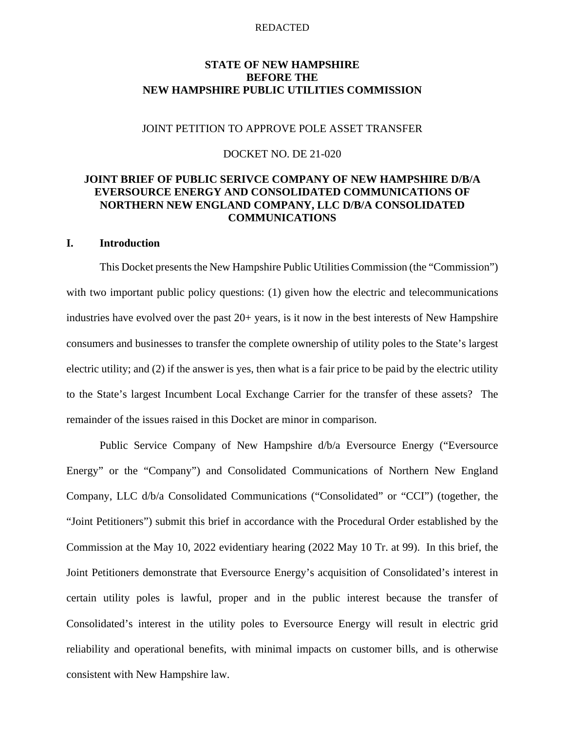## **STATE OF NEW HAMPSHIRE BEFORE THE NEW HAMPSHIRE PUBLIC UTILITIES COMMISSION**

## JOINT PETITION TO APPROVE POLE ASSET TRANSFER

### DOCKET NO. DE 21-020

# **JOINT BRIEF OF PUBLIC SERIVCE COMPANY OF NEW HAMPSHIRE D/B/A EVERSOURCE ENERGY AND CONSOLIDATED COMMUNICATIONS OF NORTHERN NEW ENGLAND COMPANY, LLC D/B/A CONSOLIDATED COMMUNICATIONS**

## **I. Introduction**

This Docket presents the New Hampshire Public Utilities Commission (the "Commission") with two important public policy questions: (1) given how the electric and telecommunications industries have evolved over the past 20+ years, is it now in the best interests of New Hampshire consumers and businesses to transfer the complete ownership of utility poles to the State's largest electric utility; and (2) if the answer is yes, then what is a fair price to be paid by the electric utility to the State's largest Incumbent Local Exchange Carrier for the transfer of these assets? The remainder of the issues raised in this Docket are minor in comparison.

Public Service Company of New Hampshire d/b/a Eversource Energy ("Eversource Energy" or the "Company") and Consolidated Communications of Northern New England Company, LLC d/b/a Consolidated Communications ("Consolidated" or "CCI") (together, the "Joint Petitioners") submit this brief in accordance with the Procedural Order established by the Commission at the May 10, 2022 evidentiary hearing (2022 May 10 Tr. at 99). In this brief, the Joint Petitioners demonstrate that Eversource Energy's acquisition of Consolidated's interest in certain utility poles is lawful, proper and in the public interest because the transfer of Consolidated's interest in the utility poles to Eversource Energy will result in electric grid reliability and operational benefits, with minimal impacts on customer bills, and is otherwise consistent with New Hampshire law.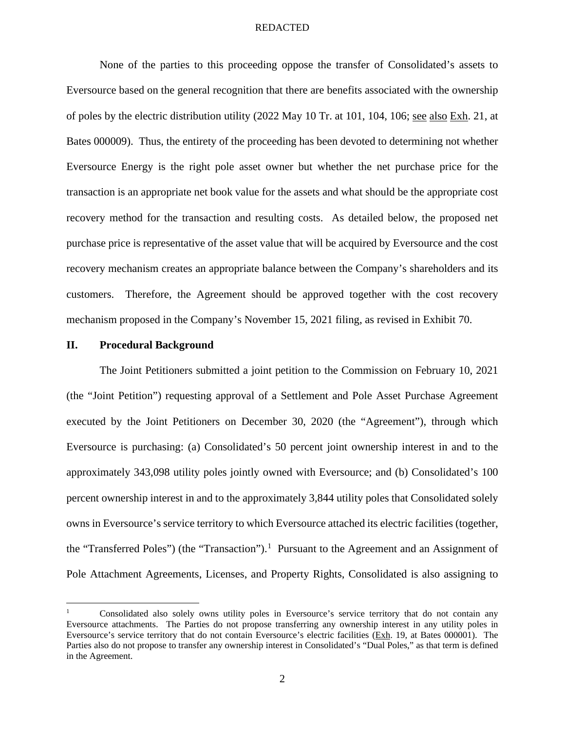None of the parties to this proceeding oppose the transfer of Consolidated's assets to Eversource based on the general recognition that there are benefits associated with the ownership of poles by the electric distribution utility (2022 May 10 Tr. at 101, 104, 106; see also Exh. 21, at Bates 000009). Thus, the entirety of the proceeding has been devoted to determining not whether Eversource Energy is the right pole asset owner but whether the net purchase price for the transaction is an appropriate net book value for the assets and what should be the appropriate cost recovery method for the transaction and resulting costs. As detailed below, the proposed net purchase price is representative of the asset value that will be acquired by Eversource and the cost recovery mechanism creates an appropriate balance between the Company's shareholders and its customers. Therefore, the Agreement should be approved together with the cost recovery mechanism proposed in the Company's November 15, 2021 filing, as revised in Exhibit 70.

### **II. Procedural Background**

The Joint Petitioners submitted a joint petition to the Commission on February 10, 2021 (the "Joint Petition") requesting approval of a Settlement and Pole Asset Purchase Agreement executed by the Joint Petitioners on December 30, 2020 (the "Agreement"), through which Eversource is purchasing: (a) Consolidated's 50 percent joint ownership interest in and to the approximately 343,098 utility poles jointly owned with Eversource; and (b) Consolidated's 100 percent ownership interest in and to the approximately 3,844 utility poles that Consolidated solely owns in Eversource's service territory to which Eversource attached its electric facilities (together, the "Transferred Poles") (the "Transaction").<sup>1</sup> Pursuant to the Agreement and an Assignment of Pole Attachment Agreements, Licenses, and Property Rights, Consolidated is also assigning to

<sup>1</sup> Consolidated also solely owns utility poles in Eversource's service territory that do not contain any Eversource attachments. The Parties do not propose transferring any ownership interest in any utility poles in Eversource's service territory that do not contain Eversource's electric facilities (Exh. 19, at Bates 000001). The Parties also do not propose to transfer any ownership interest in Consolidated's "Dual Poles," as that term is defined in the Agreement.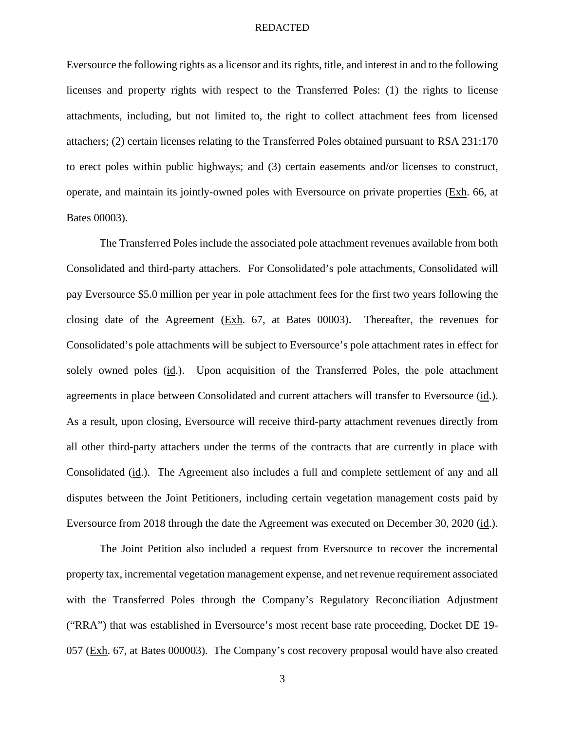Eversource the following rights as a licensor and its rights, title, and interest in and to the following licenses and property rights with respect to the Transferred Poles: (1) the rights to license attachments, including, but not limited to, the right to collect attachment fees from licensed attachers; (2) certain licenses relating to the Transferred Poles obtained pursuant to RSA 231:170 to erect poles within public highways; and (3) certain easements and/or licenses to construct, operate, and maintain its jointly-owned poles with Eversource on private properties (Exh. 66, at Bates 00003).

The Transferred Poles include the associated pole attachment revenues available from both Consolidated and third-party attachers. For Consolidated's pole attachments, Consolidated will pay Eversource \$5.0 million per year in pole attachment fees for the first two years following the closing date of the Agreement (Exh. 67, at Bates 00003). Thereafter, the revenues for Consolidated's pole attachments will be subject to Eversource's pole attachment rates in effect for solely owned poles (id.). Upon acquisition of the Transferred Poles, the pole attachment agreements in place between Consolidated and current attachers will transfer to Eversource (id.). As a result, upon closing, Eversource will receive third-party attachment revenues directly from all other third-party attachers under the terms of the contracts that are currently in place with Consolidated (id.). The Agreement also includes a full and complete settlement of any and all disputes between the Joint Petitioners, including certain vegetation management costs paid by Eversource from 2018 through the date the Agreement was executed on December 30, 2020 (id.).

The Joint Petition also included a request from Eversource to recover the incremental property tax, incremental vegetation management expense, and net revenue requirement associated with the Transferred Poles through the Company's Regulatory Reconciliation Adjustment ("RRA") that was established in Eversource's most recent base rate proceeding, Docket DE 19- 057 (Exh. 67, at Bates 000003). The Company's cost recovery proposal would have also created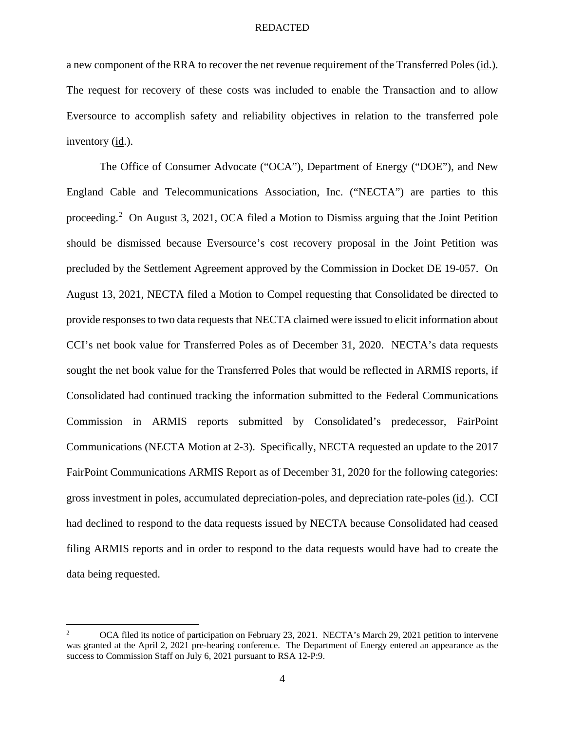a new component of the RRA to recover the net revenue requirement of the Transferred Poles (id.). The request for recovery of these costs was included to enable the Transaction and to allow Eversource to accomplish safety and reliability objectives in relation to the transferred pole inventory (id.).

The Office of Consumer Advocate ("OCA"), Department of Energy ("DOE"), and New England Cable and Telecommunications Association, Inc. ("NECTA") are parties to this proceeding.<sup>2</sup> On August 3, 2021, OCA filed a Motion to Dismiss arguing that the Joint Petition should be dismissed because Eversource's cost recovery proposal in the Joint Petition was precluded by the Settlement Agreement approved by the Commission in Docket DE 19-057. On August 13, 2021, NECTA filed a Motion to Compel requesting that Consolidated be directed to provide responses to two data requests that NECTA claimed were issued to elicit information about CCI's net book value for Transferred Poles as of December 31, 2020. NECTA's data requests sought the net book value for the Transferred Poles that would be reflected in ARMIS reports, if Consolidated had continued tracking the information submitted to the Federal Communications Commission in ARMIS reports submitted by Consolidated's predecessor, FairPoint Communications (NECTA Motion at 2-3). Specifically, NECTA requested an update to the 2017 FairPoint Communications ARMIS Report as of December 31, 2020 for the following categories: gross investment in poles, accumulated depreciation-poles, and depreciation rate-poles (id.). CCI had declined to respond to the data requests issued by NECTA because Consolidated had ceased filing ARMIS reports and in order to respond to the data requests would have had to create the data being requested.

<sup>2</sup> OCA filed its notice of participation on February 23, 2021. NECTA's March 29, 2021 petition to intervene was granted at the April 2, 2021 pre-hearing conference. The Department of Energy entered an appearance as the success to Commission Staff on July 6, 2021 pursuant to RSA 12-P:9.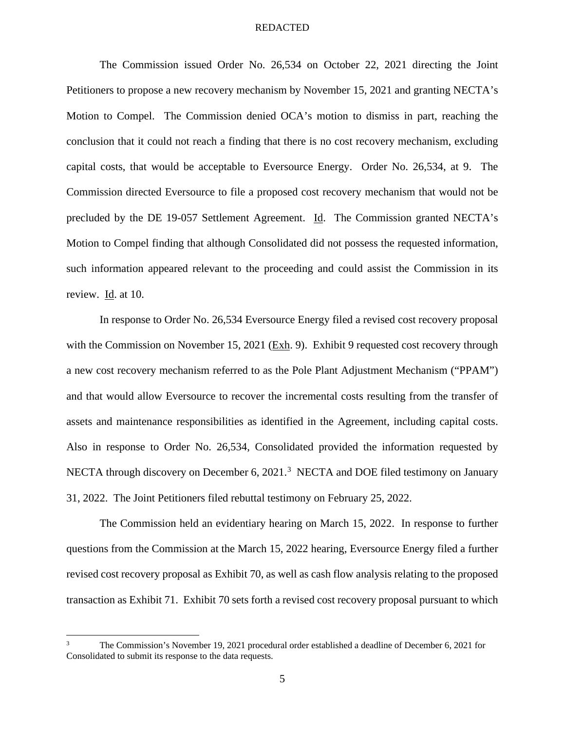The Commission issued Order No. 26,534 on October 22, 2021 directing the Joint Petitioners to propose a new recovery mechanism by November 15, 2021 and granting NECTA's Motion to Compel. The Commission denied OCA's motion to dismiss in part, reaching the conclusion that it could not reach a finding that there is no cost recovery mechanism, excluding capital costs, that would be acceptable to Eversource Energy. Order No. 26,534, at 9. The Commission directed Eversource to file a proposed cost recovery mechanism that would not be precluded by the DE 19-057 Settlement Agreement. Id. The Commission granted NECTA's Motion to Compel finding that although Consolidated did not possess the requested information, such information appeared relevant to the proceeding and could assist the Commission in its review. Id. at 10.

In response to Order No. 26,534 Eversource Energy filed a revised cost recovery proposal with the Commission on November 15, 2021 (Exh. 9). Exhibit 9 requested cost recovery through a new cost recovery mechanism referred to as the Pole Plant Adjustment Mechanism ("PPAM") and that would allow Eversource to recover the incremental costs resulting from the transfer of assets and maintenance responsibilities as identified in the Agreement, including capital costs. Also in response to Order No. 26,534, Consolidated provided the information requested by NECTA through discovery on December 6, 2021.<sup>3</sup> NECTA and DOE filed testimony on January 31, 2022. The Joint Petitioners filed rebuttal testimony on February 25, 2022.

The Commission held an evidentiary hearing on March 15, 2022. In response to further questions from the Commission at the March 15, 2022 hearing, Eversource Energy filed a further revised cost recovery proposal as Exhibit 70, as well as cash flow analysis relating to the proposed transaction as Exhibit 71. Exhibit 70 sets forth a revised cost recovery proposal pursuant to which

<sup>3</sup> The Commission's November 19, 2021 procedural order established a deadline of December 6, 2021 for Consolidated to submit its response to the data requests.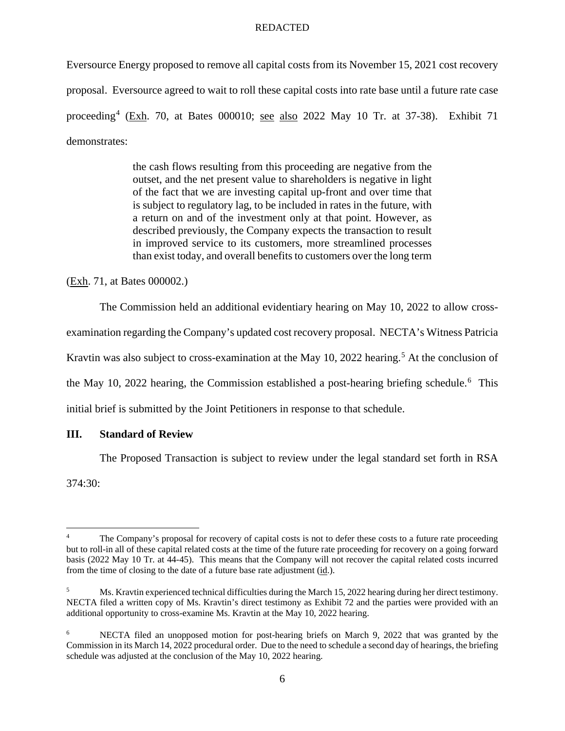Eversource Energy proposed to remove all capital costs from its November 15, 2021 cost recovery proposal. Eversource agreed to wait to roll these capital costs into rate base until a future rate case proceeding<sup>4</sup> (Exh. 70, at Bates 000010; see also 2022 May 10 Tr. at 37-38). Exhibit 71 demonstrates:

> the cash flows resulting from this proceeding are negative from the outset, and the net present value to shareholders is negative in light of the fact that we are investing capital up-front and over time that is subject to regulatory lag, to be included in rates in the future, with a return on and of the investment only at that point. However, as described previously, the Company expects the transaction to result in improved service to its customers, more streamlined processes than exist today, and overall benefits to customers over the long term

(Exh. 71, at Bates 000002.)

The Commission held an additional evidentiary hearing on May 10, 2022 to allow crossexamination regarding the Company's updated cost recovery proposal. NECTA's Witness Patricia Kravtin was also subject to cross-examination at the May 10, 2022 hearing.<sup>5</sup> At the conclusion of the May 10, 2022 hearing, the Commission established a post-hearing briefing schedule.<sup>6</sup> This initial brief is submitted by the Joint Petitioners in response to that schedule.

# **III. Standard of Review**

The Proposed Transaction is subject to review under the legal standard set forth in RSA

374:30:

<sup>4</sup> The Company's proposal for recovery of capital costs is not to defer these costs to a future rate proceeding but to roll-in all of these capital related costs at the time of the future rate proceeding for recovery on a going forward basis (2022 May 10 Tr. at 44-45). This means that the Company will not recover the capital related costs incurred from the time of closing to the date of a future base rate adjustment (id.).

<sup>5</sup> Ms. Kravtin experienced technical difficulties during the March 15, 2022 hearing during her direct testimony. NECTA filed a written copy of Ms. Kravtin's direct testimony as Exhibit 72 and the parties were provided with an additional opportunity to cross-examine Ms. Kravtin at the May 10, 2022 hearing.

<sup>6</sup> NECTA filed an unopposed motion for post-hearing briefs on March 9, 2022 that was granted by the Commission in its March 14, 2022 procedural order. Due to the need to schedule a second day of hearings, the briefing schedule was adjusted at the conclusion of the May 10, 2022 hearing.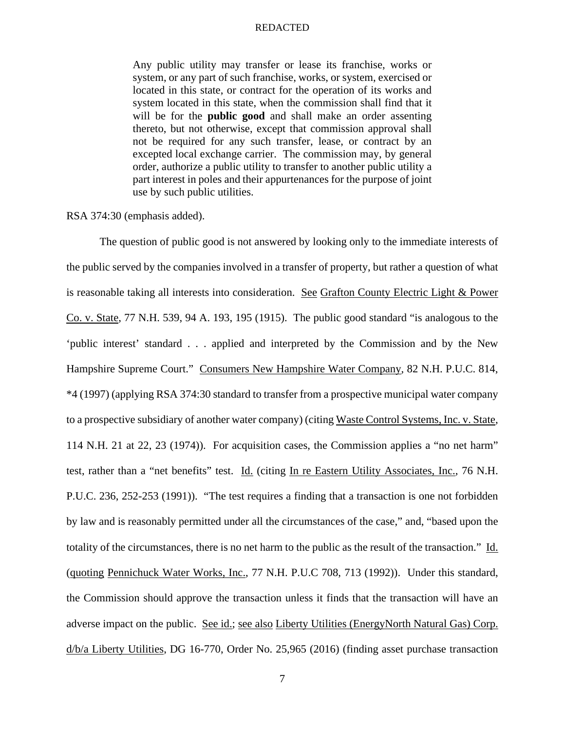Any public utility may transfer or lease its franchise, works or system, or any part of such franchise, works, or system, exercised or located in this state, or contract for the operation of its works and system located in this state, when the commission shall find that it will be for the **public good** and shall make an order assenting thereto, but not otherwise, except that commission approval shall not be required for any such transfer, lease, or contract by an excepted local exchange carrier. The commission may, by general order, authorize a public utility to transfer to another public utility a part interest in poles and their appurtenances for the purpose of joint use by such public utilities.

RSA 374:30 (emphasis added).

The question of public good is not answered by looking only to the immediate interests of the public served by the companies involved in a transfer of property, but rather a question of what is reasonable taking all interests into consideration. See Grafton County Electric Light & Power Co. v. State, 77 N.H. 539, 94 A. 193, 195 (1915). The public good standard "is analogous to the 'public interest' standard . . . applied and interpreted by the Commission and by the New Hampshire Supreme Court." Consumers New Hampshire Water Company, 82 N.H. P.U.C. 814, \*4 (1997) (applying RSA 374:30 standard to transfer from a prospective municipal water company to a prospective subsidiary of another water company) (citing Waste Control Systems, Inc. v. State, 114 N.H. 21 at 22, 23 (1974)). For acquisition cases, the Commission applies a "no net harm" test, rather than a "net benefits" test. Id. (citing In re Eastern Utility Associates, Inc., 76 N.H. P.U.C. 236, 252-253 (1991)). "The test requires a finding that a transaction is one not forbidden by law and is reasonably permitted under all the circumstances of the case," and, "based upon the totality of the circumstances, there is no net harm to the public as the result of the transaction." Id. (quoting Pennichuck Water Works, Inc., 77 N.H. P.U.C 708, 713 (1992)). Under this standard, the Commission should approve the transaction unless it finds that the transaction will have an adverse impact on the public. See id.; see also Liberty Utilities (EnergyNorth Natural Gas) Corp. d/b/a Liberty Utilities, DG 16-770, Order No. 25,965 (2016) (finding asset purchase transaction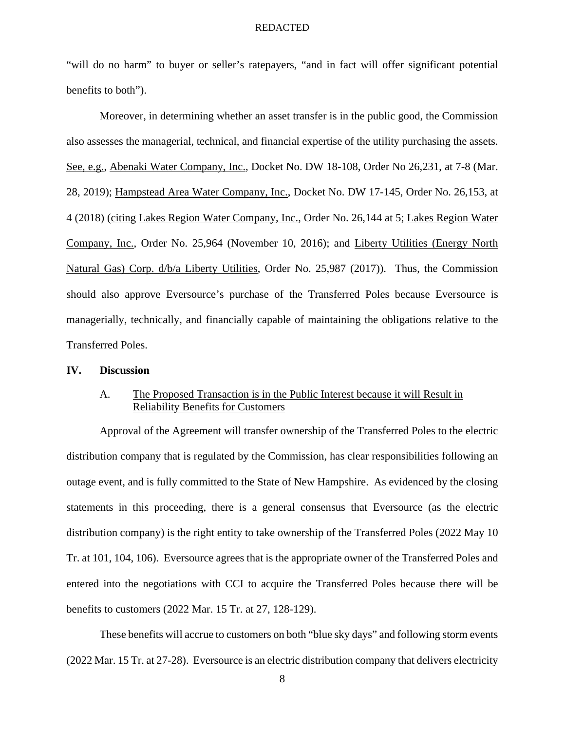"will do no harm" to buyer or seller's ratepayers, "and in fact will offer significant potential benefits to both").

Moreover, in determining whether an asset transfer is in the public good, the Commission also assesses the managerial, technical, and financial expertise of the utility purchasing the assets. See, e.g., Abenaki Water Company, Inc., Docket No. DW 18-108, Order No 26,231, at 7-8 (Mar. 28, 2019); Hampstead Area Water Company, Inc., Docket No. DW 17-145, Order No. 26,153, at 4 (2018) (citing Lakes Region Water Company, Inc., Order No. 26,144 at 5; Lakes Region Water Company, Inc., Order No. 25,964 (November 10, 2016); and Liberty Utilities (Energy North Natural Gas) Corp. d/b/a Liberty Utilities, Order No. 25,987 (2017)). Thus, the Commission should also approve Eversource's purchase of the Transferred Poles because Eversource is managerially, technically, and financially capable of maintaining the obligations relative to the Transferred Poles.

## **IV. Discussion**

# A. The Proposed Transaction is in the Public Interest because it will Result in Reliability Benefits for Customers

Approval of the Agreement will transfer ownership of the Transferred Poles to the electric distribution company that is regulated by the Commission, has clear responsibilities following an outage event, and is fully committed to the State of New Hampshire. As evidenced by the closing statements in this proceeding, there is a general consensus that Eversource (as the electric distribution company) is the right entity to take ownership of the Transferred Poles (2022 May 10 Tr. at 101, 104, 106). Eversource agrees that is the appropriate owner of the Transferred Poles and entered into the negotiations with CCI to acquire the Transferred Poles because there will be benefits to customers (2022 Mar. 15 Tr. at 27, 128-129).

These benefits will accrue to customers on both "blue sky days" and following storm events (2022 Mar. 15 Tr. at 27-28). Eversource is an electric distribution company that delivers electricity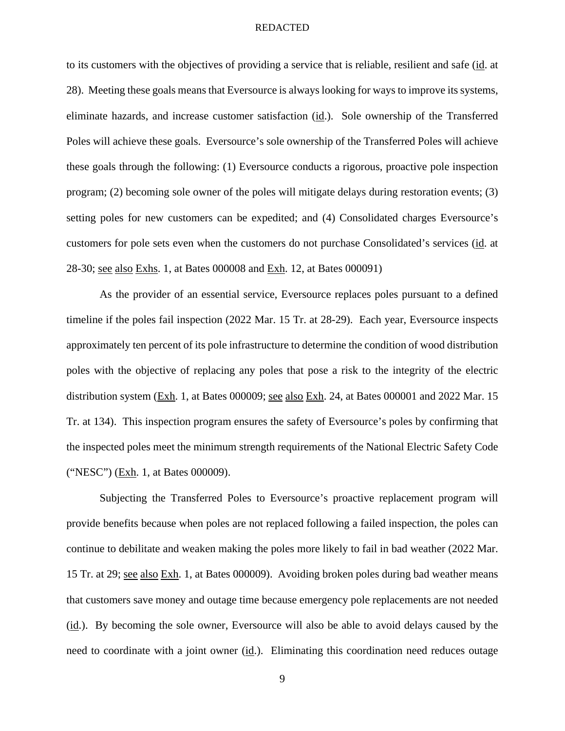to its customers with the objectives of providing a service that is reliable, resilient and safe (id. at 28). Meeting these goals means that Eversource is always looking for ways to improve its systems, eliminate hazards, and increase customer satisfaction (id.). Sole ownership of the Transferred Poles will achieve these goals. Eversource's sole ownership of the Transferred Poles will achieve these goals through the following: (1) Eversource conducts a rigorous, proactive pole inspection program; (2) becoming sole owner of the poles will mitigate delays during restoration events; (3) setting poles for new customers can be expedited; and (4) Consolidated charges Eversource's customers for pole sets even when the customers do not purchase Consolidated's services (id. at 28-30; <u>see also Exhs</u>. 1, at Bates 000008 and <u>Exh</u>. 12, at Bates 000091)

As the provider of an essential service, Eversource replaces poles pursuant to a defined timeline if the poles fail inspection (2022 Mar. 15 Tr. at 28-29). Each year, Eversource inspects approximately ten percent of its pole infrastructure to determine the condition of wood distribution poles with the objective of replacing any poles that pose a risk to the integrity of the electric distribution system (Exh. 1, at Bates 000009; see also Exh. 24, at Bates 000001 and 2022 Mar. 15 Tr. at 134). This inspection program ensures the safety of Eversource's poles by confirming that the inspected poles meet the minimum strength requirements of the National Electric Safety Code ("NESC") (Exh. 1, at Bates 000009).

Subjecting the Transferred Poles to Eversource's proactive replacement program will provide benefits because when poles are not replaced following a failed inspection, the poles can continue to debilitate and weaken making the poles more likely to fail in bad weather (2022 Mar. 15 Tr. at 29; see also Exh. 1, at Bates 000009). Avoiding broken poles during bad weather means that customers save money and outage time because emergency pole replacements are not needed (id.). By becoming the sole owner, Eversource will also be able to avoid delays caused by the need to coordinate with a joint owner (id.). Eliminating this coordination need reduces outage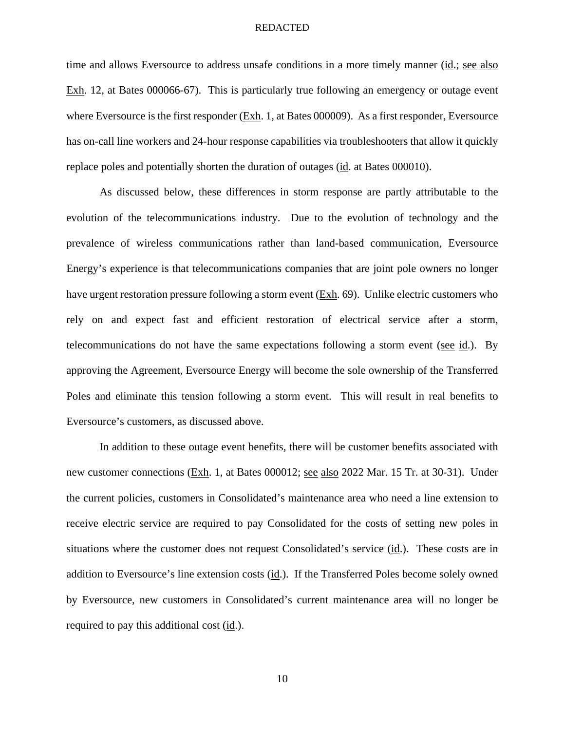time and allows Eversource to address unsafe conditions in a more timely manner (id.; see also Exh. 12, at Bates 000066-67). This is particularly true following an emergency or outage event where Eversource is the first responder (Exh. 1, at Bates 000009). As a first responder, Eversource has on-call line workers and 24-hour response capabilities via troubleshooters that allow it quickly replace poles and potentially shorten the duration of outages (id. at Bates 000010).

As discussed below, these differences in storm response are partly attributable to the evolution of the telecommunications industry. Due to the evolution of technology and the prevalence of wireless communications rather than land-based communication, Eversource Energy's experience is that telecommunications companies that are joint pole owners no longer have urgent restoration pressure following a storm event (Exh. 69). Unlike electric customers who rely on and expect fast and efficient restoration of electrical service after a storm, telecommunications do not have the same expectations following a storm event (see  $id$ .). By approving the Agreement, Eversource Energy will become the sole ownership of the Transferred Poles and eliminate this tension following a storm event. This will result in real benefits to Eversource's customers, as discussed above.

In addition to these outage event benefits, there will be customer benefits associated with new customer connections (Exh. 1, at Bates 000012; see also 2022 Mar. 15 Tr. at 30-31). Under the current policies, customers in Consolidated's maintenance area who need a line extension to receive electric service are required to pay Consolidated for the costs of setting new poles in situations where the customer does not request Consolidated's service (id.). These costs are in addition to Eversource's line extension costs (id.). If the Transferred Poles become solely owned by Eversource, new customers in Consolidated's current maintenance area will no longer be required to pay this additional cost (id.).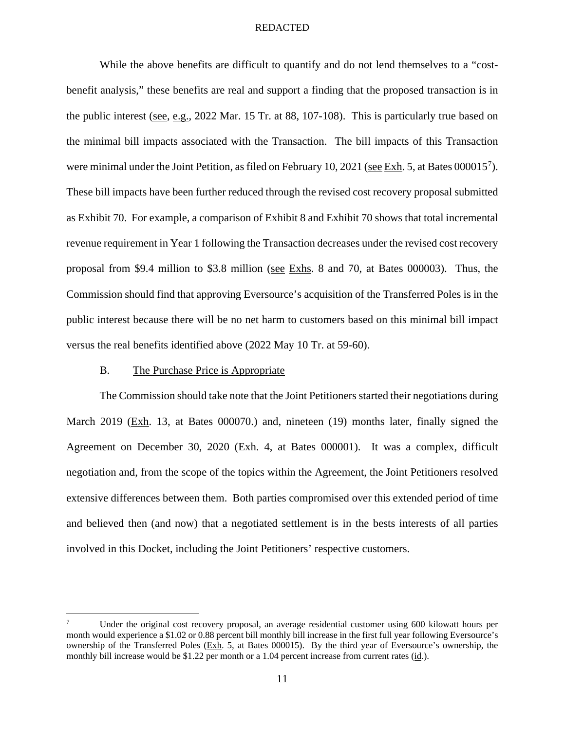While the above benefits are difficult to quantify and do not lend themselves to a "costbenefit analysis," these benefits are real and support a finding that the proposed transaction is in the public interest (see, e.g., 2022 Mar. 15 Tr. at 88, 107-108). This is particularly true based on the minimal bill impacts associated with the Transaction. The bill impacts of this Transaction were minimal under the Joint Petition, as filed on February 10, 2021 (see Exh. 5, at Bates 000015<sup>7</sup>). These bill impacts have been further reduced through the revised cost recovery proposal submitted as Exhibit 70. For example, a comparison of Exhibit 8 and Exhibit 70 shows that total incremental revenue requirement in Year 1 following the Transaction decreases under the revised cost recovery proposal from \$9.4 million to \$3.8 million (see Exhs. 8 and 70, at Bates 000003). Thus, the Commission should find that approving Eversource's acquisition of the Transferred Poles is in the public interest because there will be no net harm to customers based on this minimal bill impact versus the real benefits identified above (2022 May 10 Tr. at 59-60).

### B. The Purchase Price is Appropriate

The Commission should take note that the Joint Petitioners started their negotiations during March 2019 (Exh. 13, at Bates 000070.) and, nineteen (19) months later, finally signed the Agreement on December 30, 2020 (Exh. 4, at Bates 000001). It was a complex, difficult negotiation and, from the scope of the topics within the Agreement, the Joint Petitioners resolved extensive differences between them. Both parties compromised over this extended period of time and believed then (and now) that a negotiated settlement is in the bests interests of all parties involved in this Docket, including the Joint Petitioners' respective customers.

<sup>7</sup> Under the original cost recovery proposal, an average residential customer using 600 kilowatt hours per month would experience a \$1.02 or 0.88 percent bill monthly bill increase in the first full year following Eversource's ownership of the Transferred Poles (Exh. 5, at Bates 000015). By the third year of Eversource's ownership, the monthly bill increase would be \$1.22 per month or a 1.04 percent increase from current rates (id.).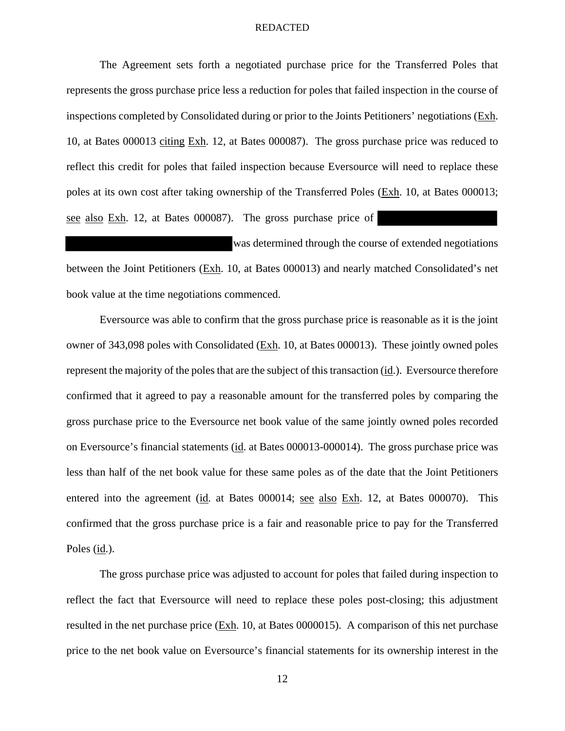The Agreement sets forth a negotiated purchase price for the Transferred Poles that represents the gross purchase price less a reduction for poles that failed inspection in the course of inspections completed by Consolidated during or prior to the Joints Petitioners' negotiations (Exh. 10, at Bates 000013 citing Exh. 12, at Bates 000087). The gross purchase price was reduced to reflect this credit for poles that failed inspection because Eversource will need to replace these poles at its own cost after taking ownership of the Transferred Poles (Exh. 10, at Bates 000013; see also Exh. 12, at Bates 000087). The gross purchase price of

was determined through the course of extended negotiations between the Joint Petitioners (Exh. 10, at Bates 000013) and nearly matched Consolidated's net book value at the time negotiations commenced.

Eversource was able to confirm that the gross purchase price is reasonable as it is the joint owner of 343,098 poles with Consolidated (Exh. 10, at Bates 000013). These jointly owned poles represent the majority of the poles that are the subject of this transaction (id.). Eversource therefore confirmed that it agreed to pay a reasonable amount for the transferred poles by comparing the gross purchase price to the Eversource net book value of the same jointly owned poles recorded on Eversource's financial statements (id. at Bates 000013-000014). The gross purchase price was less than half of the net book value for these same poles as of the date that the Joint Petitioners entered into the agreement (id. at Bates 000014; see also Exh. 12, at Bates 000070). This confirmed that the gross purchase price is a fair and reasonable price to pay for the Transferred Poles (id.).

The gross purchase price was adjusted to account for poles that failed during inspection to reflect the fact that Eversource will need to replace these poles post-closing; this adjustment resulted in the net purchase price (Exh. 10, at Bates 0000015). A comparison of this net purchase price to the net book value on Eversource's financial statements for its ownership interest in the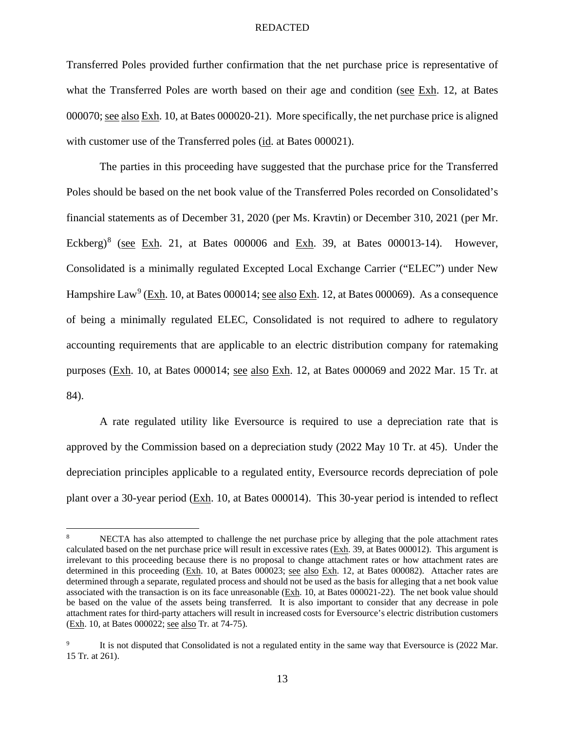Transferred Poles provided further confirmation that the net purchase price is representative of what the Transferred Poles are worth based on their age and condition (see Exh. 12, at Bates 000070; see also Exh. 10, at Bates 000020-21). More specifically, the net purchase price is aligned with customer use of the Transferred poles (id. at Bates 000021).

The parties in this proceeding have suggested that the purchase price for the Transferred Poles should be based on the net book value of the Transferred Poles recorded on Consolidated's financial statements as of December 31, 2020 (per Ms. Kravtin) or December 310, 2021 (per Mr. Eckberg)<sup>8</sup> (see Exh. 21, at Bates 000006 and Exh. 39, at Bates 000013-14). However, Consolidated is a minimally regulated Excepted Local Exchange Carrier ("ELEC") under New Hampshire Law<sup>9</sup> (Exh. 10, at Bates 000014; see also Exh. 12, at Bates 000069). As a consequence of being a minimally regulated ELEC, Consolidated is not required to adhere to regulatory accounting requirements that are applicable to an electric distribution company for ratemaking purposes (Exh. 10, at Bates 000014; see also Exh. 12, at Bates 000069 and 2022 Mar. 15 Tr. at 84).

A rate regulated utility like Eversource is required to use a depreciation rate that is approved by the Commission based on a depreciation study (2022 May 10 Tr. at 45). Under the depreciation principles applicable to a regulated entity, Eversource records depreciation of pole plant over a 30-year period (Exh. 10, at Bates 000014). This 30-year period is intended to reflect

<sup>8</sup> NECTA has also attempted to challenge the net purchase price by alleging that the pole attachment rates calculated based on the net purchase price will result in excessive rates (Exh. 39, at Bates 000012). This argument is irrelevant to this proceeding because there is no proposal to change attachment rates or how attachment rates are determined in this proceeding (Exh. 10, at Bates 000023; see also Exh. 12, at Bates 000082). Attacher rates are determined through a separate, regulated process and should not be used as the basis for alleging that a net book value associated with the transaction is on its face unreasonable (Exh. 10, at Bates 000021-22). The net book value should be based on the value of the assets being transferred. It is also important to consider that any decrease in pole attachment rates for third-party attachers will result in increased costs for Eversource's electric distribution customers (Exh. 10, at Bates 000022; see also Tr. at 74-75).

<sup>9</sup> It is not disputed that Consolidated is not a regulated entity in the same way that Eversource is (2022 Mar. 15 Tr. at 261).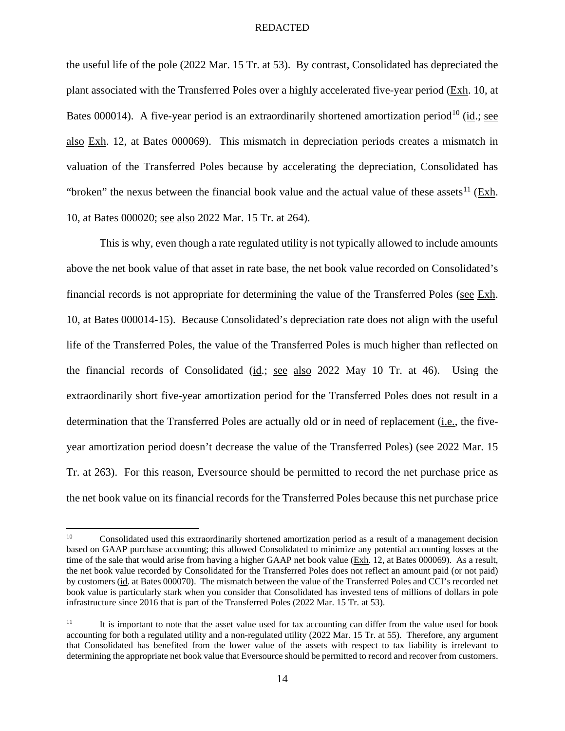the useful life of the pole (2022 Mar. 15 Tr. at 53). By contrast, Consolidated has depreciated the plant associated with the Transferred Poles over a highly accelerated five-year period (Exh. 10, at Bates 000014). A five-year period is an extraordinarily shortened amortization period<sup>10</sup> (id.; see also Exh. 12, at Bates 000069). This mismatch in depreciation periods creates a mismatch in valuation of the Transferred Poles because by accelerating the depreciation, Consolidated has "broken" the nexus between the financial book value and the actual value of these assets<sup>11</sup> (Exh. 10, at Bates 000020; see also 2022 Mar. 15 Tr. at 264).

This is why, even though a rate regulated utility is not typically allowed to include amounts above the net book value of that asset in rate base, the net book value recorded on Consolidated's financial records is not appropriate for determining the value of the Transferred Poles (see Exh. 10, at Bates 000014-15). Because Consolidated's depreciation rate does not align with the useful life of the Transferred Poles, the value of the Transferred Poles is much higher than reflected on the financial records of Consolidated (id.; see also 2022 May 10 Tr. at 46). Using the extraordinarily short five-year amortization period for the Transferred Poles does not result in a determination that the Transferred Poles are actually old or in need of replacement (*i.e.*, the fiveyear amortization period doesn't decrease the value of the Transferred Poles) (see 2022 Mar. 15 Tr. at 263). For this reason, Eversource should be permitted to record the net purchase price as the net book value on its financial records for the Transferred Poles because this net purchase price

<sup>10</sup> Consolidated used this extraordinarily shortened amortization period as a result of a management decision based on GAAP purchase accounting; this allowed Consolidated to minimize any potential accounting losses at the time of the sale that would arise from having a higher GAAP net book value (Exh. 12, at Bates 000069). As a result, the net book value recorded by Consolidated for the Transferred Poles does not reflect an amount paid (or not paid) by customers (id. at Bates 000070). The mismatch between the value of the Transferred Poles and CCI's recorded net book value is particularly stark when you consider that Consolidated has invested tens of millions of dollars in pole infrastructure since 2016 that is part of the Transferred Poles (2022 Mar. 15 Tr. at 53).

<sup>&</sup>lt;sup>11</sup> It is important to note that the asset value used for tax accounting can differ from the value used for book accounting for both a regulated utility and a non-regulated utility (2022 Mar. 15 Tr. at 55). Therefore, any argument that Consolidated has benefited from the lower value of the assets with respect to tax liability is irrelevant to determining the appropriate net book value that Eversource should be permitted to record and recover from customers.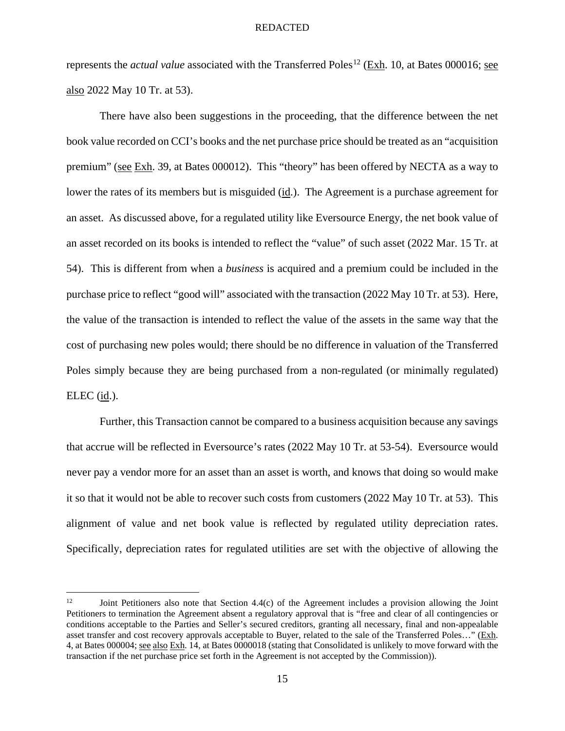represents the *actual value* associated with the Transferred Poles<sup>12</sup> (Exh. 10, at Bates 000016; see also 2022 May 10 Tr. at 53).

There have also been suggestions in the proceeding, that the difference between the net book value recorded on CCI's books and the net purchase price should be treated as an "acquisition premium" (see Exh. 39, at Bates 000012). This "theory" has been offered by NECTA as a way to lower the rates of its members but is misguided (id.). The Agreement is a purchase agreement for an asset. As discussed above, for a regulated utility like Eversource Energy, the net book value of an asset recorded on its books is intended to reflect the "value" of such asset (2022 Mar. 15 Tr. at 54). This is different from when a *business* is acquired and a premium could be included in the purchase price to reflect "good will" associated with the transaction (2022 May 10 Tr. at 53). Here, the value of the transaction is intended to reflect the value of the assets in the same way that the cost of purchasing new poles would; there should be no difference in valuation of the Transferred Poles simply because they are being purchased from a non-regulated (or minimally regulated) ELEC (id.).

Further, this Transaction cannot be compared to a business acquisition because any savings that accrue will be reflected in Eversource's rates (2022 May 10 Tr. at 53-54). Eversource would never pay a vendor more for an asset than an asset is worth, and knows that doing so would make it so that it would not be able to recover such costs from customers (2022 May 10 Tr. at 53). This alignment of value and net book value is reflected by regulated utility depreciation rates. Specifically, depreciation rates for regulated utilities are set with the objective of allowing the

<sup>&</sup>lt;sup>12</sup> Joint Petitioners also note that Section 4.4(c) of the Agreement includes a provision allowing the Joint Petitioners to termination the Agreement absent a regulatory approval that is "free and clear of all contingencies or conditions acceptable to the Parties and Seller's secured creditors, granting all necessary, final and non-appealable asset transfer and cost recovery approvals acceptable to Buyer, related to the sale of the Transferred Poles..." (Exh. 4, at Bates 000004; see also Exh. 14, at Bates 0000018 (stating that Consolidated is unlikely to move forward with the transaction if the net purchase price set forth in the Agreement is not accepted by the Commission)).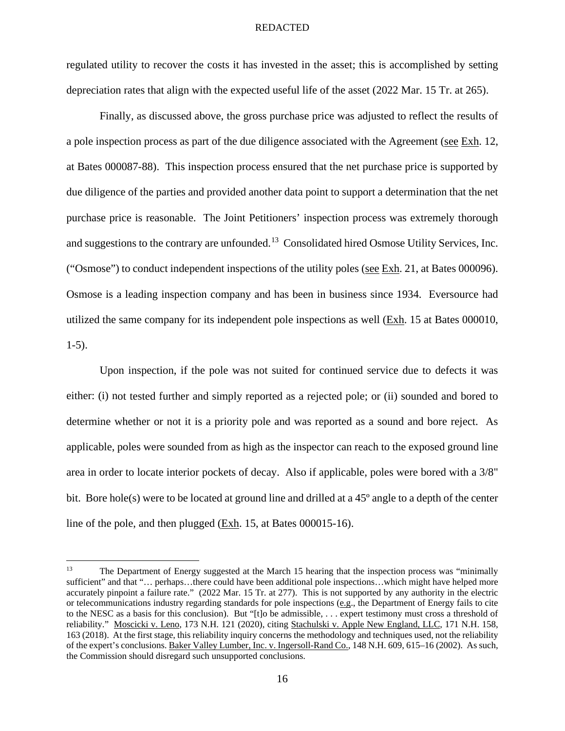regulated utility to recover the costs it has invested in the asset; this is accomplished by setting depreciation rates that align with the expected useful life of the asset (2022 Mar. 15 Tr. at 265).

Finally, as discussed above, the gross purchase price was adjusted to reflect the results of a pole inspection process as part of the due diligence associated with the Agreement (see Exh. 12, at Bates 000087-88). This inspection process ensured that the net purchase price is supported by due diligence of the parties and provided another data point to support a determination that the net purchase price is reasonable. The Joint Petitioners' inspection process was extremely thorough and suggestions to the contrary are unfounded.<sup>13</sup> Consolidated hired Osmose Utility Services, Inc. ("Osmose") to conduct independent inspections of the utility poles (see Exh. 21, at Bates 000096). Osmose is a leading inspection company and has been in business since 1934. Eversource had utilized the same company for its independent pole inspections as well  $(Exh. 15$  at Bates 000010, 1-5).

Upon inspection, if the pole was not suited for continued service due to defects it was either: (i) not tested further and simply reported as a rejected pole; or (ii) sounded and bored to determine whether or not it is a priority pole and was reported as a sound and bore reject. As applicable, poles were sounded from as high as the inspector can reach to the exposed ground line area in order to locate interior pockets of decay. Also if applicable, poles were bored with a 3/8" bit. Bore hole(s) were to be located at ground line and drilled at a 45º angle to a depth of the center line of the pole, and then plugged (Exh. 15, at Bates 000015-16).

<sup>&</sup>lt;sup>13</sup> The Department of Energy suggested at the March 15 hearing that the inspection process was "minimally sufficient" and that "… perhaps…there could have been additional pole inspections…which might have helped more accurately pinpoint a failure rate." (2022 Mar. 15 Tr. at 277). This is not supported by any authority in the electric or telecommunications industry regarding standards for pole inspections (e.g., the Department of Energy fails to cite to the NESC as a basis for this conclusion). But "[t]o be admissible, . . . expert testimony must cross a threshold of reliability." Moscicki v. Leno, 173 N.H. 121 (2020), citing Stachulski v. Apple New England, LLC, 171 N.H. 158, 163 (2018). At the first stage, this reliability inquiry concerns the methodology and techniques used, not the reliability of the expert's conclusions. Baker Valley Lumber, Inc. v. Ingersoll-Rand Co., 148 N.H. 609, 615–16 (2002). As such, the Commission should disregard such unsupported conclusions.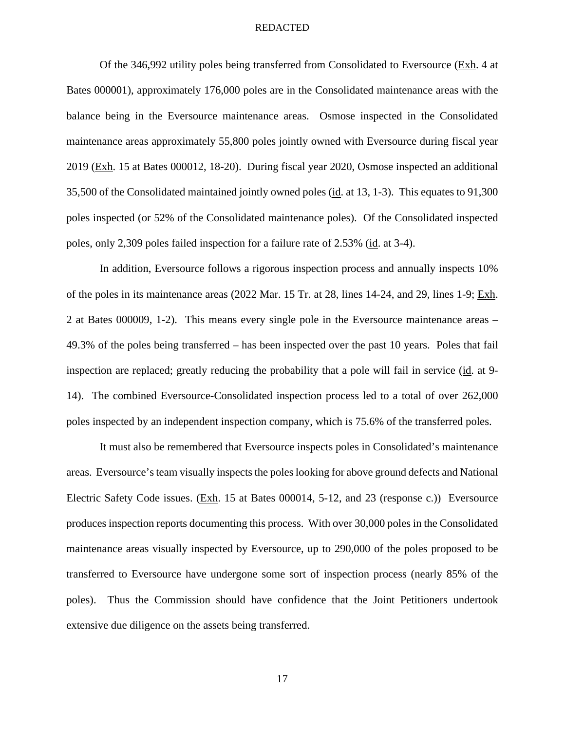Of the 346,992 utility poles being transferred from Consolidated to Eversource ( $Exh$ . 4 at Bates 000001), approximately 176,000 poles are in the Consolidated maintenance areas with the balance being in the Eversource maintenance areas. Osmose inspected in the Consolidated maintenance areas approximately 55,800 poles jointly owned with Eversource during fiscal year 2019 (Exh. 15 at Bates 000012, 18-20). During fiscal year 2020, Osmose inspected an additional 35,500 of the Consolidated maintained jointly owned poles (id. at 13, 1-3). This equates to 91,300 poles inspected (or 52% of the Consolidated maintenance poles). Of the Consolidated inspected poles, only 2,309 poles failed inspection for a failure rate of 2.53% (id. at 3-4).

In addition, Eversource follows a rigorous inspection process and annually inspects 10% of the poles in its maintenance areas (2022 Mar. 15 Tr. at 28, lines 14-24, and 29, lines 1-9; Exh. 2 at Bates 000009, 1-2). This means every single pole in the Eversource maintenance areas – 49.3% of the poles being transferred – has been inspected over the past 10 years. Poles that fail inspection are replaced; greatly reducing the probability that a pole will fail in service (id. at 9- 14). The combined Eversource-Consolidated inspection process led to a total of over 262,000 poles inspected by an independent inspection company, which is 75.6% of the transferred poles.

It must also be remembered that Eversource inspects poles in Consolidated's maintenance areas. Eversource's team visually inspects the poles looking for above ground defects and National Electric Safety Code issues. (Exh. 15 at Bates 000014, 5-12, and 23 (response c.)) Eversource produces inspection reports documenting this process. With over 30,000 poles in the Consolidated maintenance areas visually inspected by Eversource, up to 290,000 of the poles proposed to be transferred to Eversource have undergone some sort of inspection process (nearly 85% of the poles). Thus the Commission should have confidence that the Joint Petitioners undertook extensive due diligence on the assets being transferred.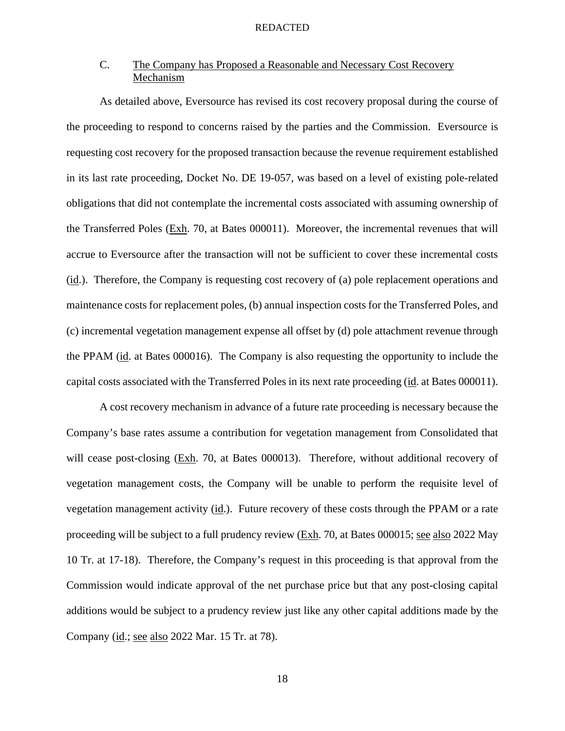# C. The Company has Proposed a Reasonable and Necessary Cost Recovery Mechanism

As detailed above, Eversource has revised its cost recovery proposal during the course of the proceeding to respond to concerns raised by the parties and the Commission. Eversource is requesting cost recovery for the proposed transaction because the revenue requirement established in its last rate proceeding, Docket No. DE 19-057, was based on a level of existing pole-related obligations that did not contemplate the incremental costs associated with assuming ownership of the Transferred Poles (Exh. 70, at Bates 000011). Moreover, the incremental revenues that will accrue to Eversource after the transaction will not be sufficient to cover these incremental costs (id.). Therefore, the Company is requesting cost recovery of (a) pole replacement operations and maintenance costs for replacement poles, (b) annual inspection costs for the Transferred Poles, and (c) incremental vegetation management expense all offset by (d) pole attachment revenue through the PPAM (id. at Bates 000016). The Company is also requesting the opportunity to include the capital costs associated with the Transferred Poles in its next rate proceeding (id. at Bates 000011).

A cost recovery mechanism in advance of a future rate proceeding is necessary because the Company's base rates assume a contribution for vegetation management from Consolidated that will cease post-closing (Exh. 70, at Bates 000013). Therefore, without additional recovery of vegetation management costs, the Company will be unable to perform the requisite level of vegetation management activity (id.). Future recovery of these costs through the PPAM or a rate proceeding will be subject to a full prudency review (Exh. 70, at Bates 000015; see also 2022 May 10 Tr. at 17-18). Therefore, the Company's request in this proceeding is that approval from the Commission would indicate approval of the net purchase price but that any post-closing capital additions would be subject to a prudency review just like any other capital additions made by the Company (id.; see also 2022 Mar. 15 Tr. at 78).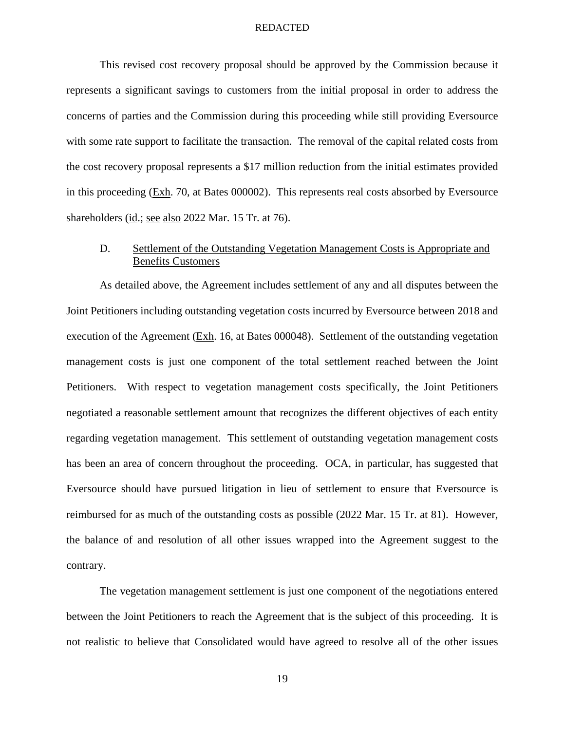This revised cost recovery proposal should be approved by the Commission because it represents a significant savings to customers from the initial proposal in order to address the concerns of parties and the Commission during this proceeding while still providing Eversource with some rate support to facilitate the transaction. The removal of the capital related costs from the cost recovery proposal represents a \$17 million reduction from the initial estimates provided in this proceeding (Exh. 70, at Bates 000002). This represents real costs absorbed by Eversource shareholders (id.; see also 2022 Mar. 15 Tr. at 76).

# D. Settlement of the Outstanding Vegetation Management Costs is Appropriate and Benefits Customers

As detailed above, the Agreement includes settlement of any and all disputes between the Joint Petitioners including outstanding vegetation costs incurred by Eversource between 2018 and execution of the Agreement (Exh. 16, at Bates 000048). Settlement of the outstanding vegetation management costs is just one component of the total settlement reached between the Joint Petitioners. With respect to vegetation management costs specifically, the Joint Petitioners negotiated a reasonable settlement amount that recognizes the different objectives of each entity regarding vegetation management. This settlement of outstanding vegetation management costs has been an area of concern throughout the proceeding. OCA, in particular, has suggested that Eversource should have pursued litigation in lieu of settlement to ensure that Eversource is reimbursed for as much of the outstanding costs as possible (2022 Mar. 15 Tr. at 81). However, the balance of and resolution of all other issues wrapped into the Agreement suggest to the contrary.

The vegetation management settlement is just one component of the negotiations entered between the Joint Petitioners to reach the Agreement that is the subject of this proceeding. It is not realistic to believe that Consolidated would have agreed to resolve all of the other issues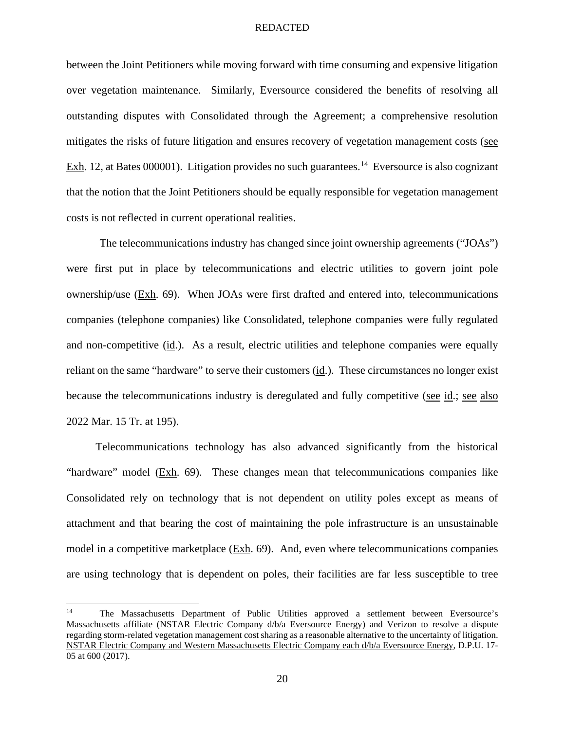between the Joint Petitioners while moving forward with time consuming and expensive litigation over vegetation maintenance. Similarly, Eversource considered the benefits of resolving all outstanding disputes with Consolidated through the Agreement; a comprehensive resolution mitigates the risks of future litigation and ensures recovery of vegetation management costs (see Exh. 12, at Bates 000001). Litigation provides no such guarantees.<sup>14</sup> Eversource is also cognizant that the notion that the Joint Petitioners should be equally responsible for vegetation management costs is not reflected in current operational realities.

The telecommunications industry has changed since joint ownership agreements ("JOAs") were first put in place by telecommunications and electric utilities to govern joint pole ownership/use (Exh. 69). When JOAs were first drafted and entered into, telecommunications companies (telephone companies) like Consolidated, telephone companies were fully regulated and non-competitive (id.). As a result, electric utilities and telephone companies were equally reliant on the same "hardware" to serve their customers (id.). These circumstances no longer exist because the telecommunications industry is deregulated and fully competitive (see id.; see also 2022 Mar. 15 Tr. at 195).

Telecommunications technology has also advanced significantly from the historical "hardware" model (Exh. 69). These changes mean that telecommunications companies like Consolidated rely on technology that is not dependent on utility poles except as means of attachment and that bearing the cost of maintaining the pole infrastructure is an unsustainable model in a competitive marketplace (Exh. 69). And, even where telecommunications companies are using technology that is dependent on poles, their facilities are far less susceptible to tree

<sup>&</sup>lt;sup>14</sup> The Massachusetts Department of Public Utilities approved a settlement between Eversource's Massachusetts affiliate (NSTAR Electric Company d/b/a Eversource Energy) and Verizon to resolve a dispute regarding storm-related vegetation management cost sharing as a reasonable alternative to the uncertainty of litigation. NSTAR Electric Company and Western Massachusetts Electric Company each d/b/a Eversource Energy, D.P.U. 17- 05 at 600 (2017).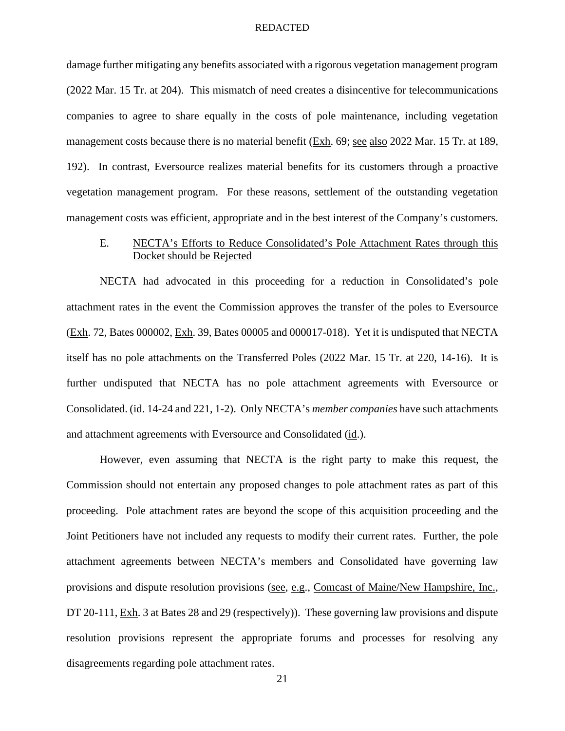damage further mitigating any benefits associated with a rigorous vegetation management program (2022 Mar. 15 Tr. at 204). This mismatch of need creates a disincentive for telecommunications companies to agree to share equally in the costs of pole maintenance, including vegetation management costs because there is no material benefit (Exh. 69; see also 2022 Mar. 15 Tr. at 189, 192). In contrast, Eversource realizes material benefits for its customers through a proactive vegetation management program. For these reasons, settlement of the outstanding vegetation management costs was efficient, appropriate and in the best interest of the Company's customers.

# E. NECTA's Efforts to Reduce Consolidated's Pole Attachment Rates through this Docket should be Rejected

NECTA had advocated in this proceeding for a reduction in Consolidated's pole attachment rates in the event the Commission approves the transfer of the poles to Eversource (Exh. 72, Bates 000002, Exh. 39, Bates 00005 and 000017-018). Yet it is undisputed that NECTA itself has no pole attachments on the Transferred Poles (2022 Mar. 15 Tr. at 220, 14-16). It is further undisputed that NECTA has no pole attachment agreements with Eversource or Consolidated. (id. 14-24 and 221, 1-2). Only NECTA's *member companies* have such attachments and attachment agreements with Eversource and Consolidated (id.).

However, even assuming that NECTA is the right party to make this request, the Commission should not entertain any proposed changes to pole attachment rates as part of this proceeding. Pole attachment rates are beyond the scope of this acquisition proceeding and the Joint Petitioners have not included any requests to modify their current rates. Further, the pole attachment agreements between NECTA's members and Consolidated have governing law provisions and dispute resolution provisions (see, e.g., Comcast of Maine/New Hampshire, Inc., DT 20-111, Exh. 3 at Bates 28 and 29 (respectively)). These governing law provisions and dispute resolution provisions represent the appropriate forums and processes for resolving any disagreements regarding pole attachment rates.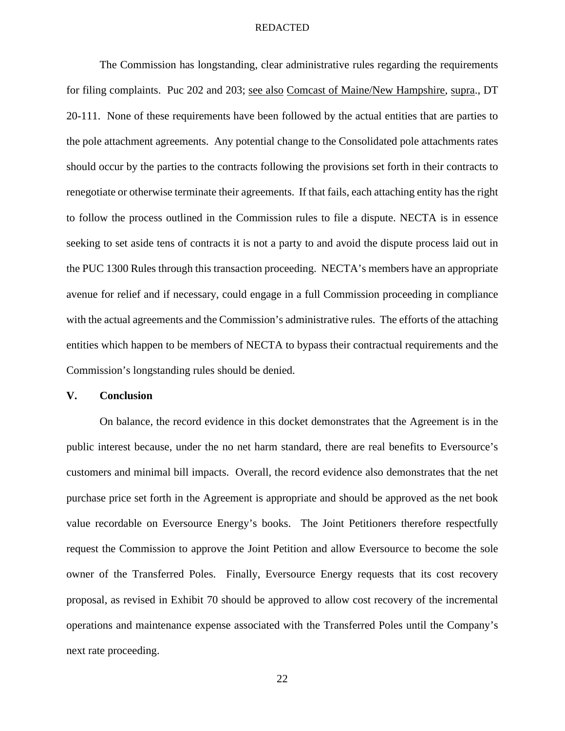The Commission has longstanding, clear administrative rules regarding the requirements for filing complaints. Puc 202 and 203; see also Comcast of Maine/New Hampshire, supra., DT 20-111. None of these requirements have been followed by the actual entities that are parties to the pole attachment agreements. Any potential change to the Consolidated pole attachments rates should occur by the parties to the contracts following the provisions set forth in their contracts to renegotiate or otherwise terminate their agreements. If that fails, each attaching entity has the right to follow the process outlined in the Commission rules to file a dispute. NECTA is in essence seeking to set aside tens of contracts it is not a party to and avoid the dispute process laid out in the PUC 1300 Rules through this transaction proceeding. NECTA's members have an appropriate avenue for relief and if necessary, could engage in a full Commission proceeding in compliance with the actual agreements and the Commission's administrative rules. The efforts of the attaching entities which happen to be members of NECTA to bypass their contractual requirements and the Commission's longstanding rules should be denied.

## **V. Conclusion**

On balance, the record evidence in this docket demonstrates that the Agreement is in the public interest because, under the no net harm standard, there are real benefits to Eversource's customers and minimal bill impacts. Overall, the record evidence also demonstrates that the net purchase price set forth in the Agreement is appropriate and should be approved as the net book value recordable on Eversource Energy's books. The Joint Petitioners therefore respectfully request the Commission to approve the Joint Petition and allow Eversource to become the sole owner of the Transferred Poles. Finally, Eversource Energy requests that its cost recovery proposal, as revised in Exhibit 70 should be approved to allow cost recovery of the incremental operations and maintenance expense associated with the Transferred Poles until the Company's next rate proceeding.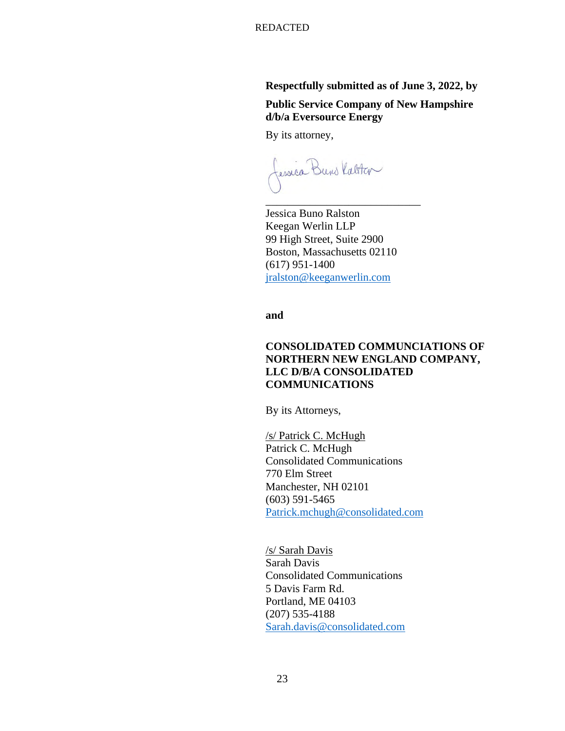# **Respectfully submitted as of June 3, 2022, by**

**Public Service Company of New Hampshire d/b/a Eversource Energy** 

By its attorney,

fessica Buns Kalster

 Jessica Buno Ralston Keegan Werlin LLP 99 High Street, Suite 2900 Boston, Massachusetts 02110 (617) 951-1400 jralston@keeganwerlin.com

\_\_\_\_\_\_\_\_\_\_\_\_\_\_\_\_\_\_\_\_\_\_\_\_\_\_\_\_

**and** 

# **CONSOLIDATED COMMUNCIATIONS OF NORTHERN NEW ENGLAND COMPANY, LLC D/B/A CONSOLIDATED COMMUNICATIONS**

By its Attorneys,

/s/ Patrick C. McHugh Patrick C. McHugh Consolidated Communications 770 Elm Street Manchester, NH 02101 (603) 591-5465 Patrick.mchugh@consolidated.com

 /s/ Sarah Davis Sarah Davis Consolidated Communications 5 Davis Farm Rd. Portland, ME 04103 (207) 535-4188 Sarah.davis@consolidated.com